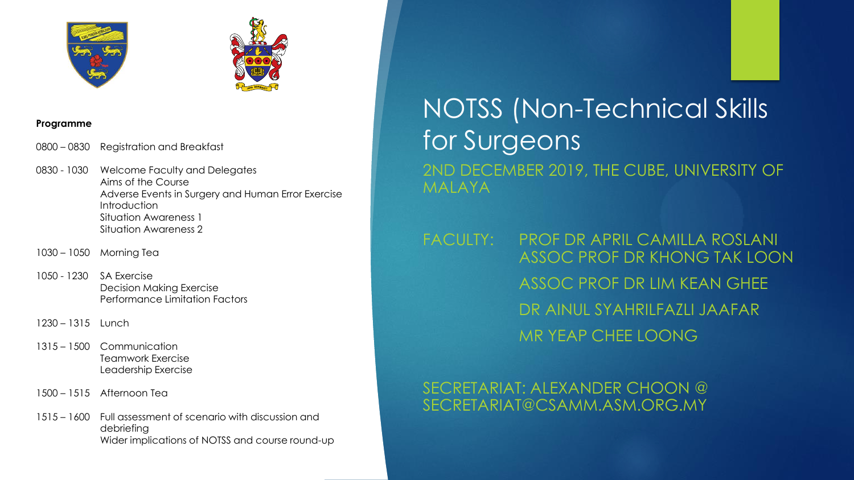



#### **Programme**

0800 – 0830 Registration and Breakfast

0830 - 1030 Welcome Faculty and Delegates Aims of the Course Adverse Events in Surgery and Human Error Exercise **Introduction** Situation Awareness 1 Situation Awareness 2

- 1030 1050 Morning Tea
- 1050 1230 SA Exercise Decision Making Exercise Performance Limitation Factors
- 1230 1315 Lunch
- 1315 1500 Communication Teamwork Exercise Leadership Exercise
- 1500 1515 Afternoon Tea
- 1515 1600 Full assessment of scenario with discussion and debriefing Wider implications of NOTSS and course round-up

# NOTSS (Non-Technical Skills for Surgeons 2ND DECEMBER 2019, THE CUBE, UNIVERSITY OF MALAYA

FACULTY: PROF DR APRIL CAMILLA ROSLANI ASSOC PROF DR KHONG TAK LOON ASSOC PROF DR LIM KEAN GHEE DR AINUL SYAHRILFAZLI JAAFAR MR YEAP CHEE LOONG

### SECRETARIAT: ALEXANDER CHOON @ SECRETARIAT@CSAMM.ASM.ORG.MY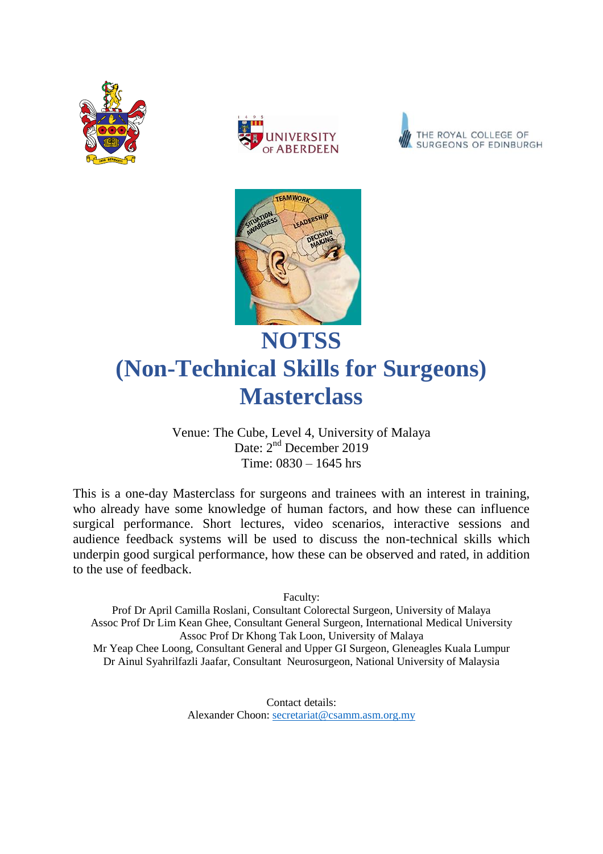







## **NOTSS (Non-Technical Skills for Surgeons) Masterclass**

Venue: The Cube, Level 4, University of Malaya Date: 2<sup>nd</sup> December 2019 Time: 0830 – 1645 hrs

This is a one-day Masterclass for surgeons and trainees with an interest in training, who already have some knowledge of human factors, and how these can influence surgical performance. Short lectures, video scenarios, interactive sessions and audience feedback systems will be used to discuss the non-technical skills which underpin good surgical performance, how these can be observed and rated, in addition to the use of feedback.

Faculty:

Prof Dr April Camilla Roslani, Consultant Colorectal Surgeon, University of Malaya Assoc Prof Dr Lim Kean Ghee, Consultant General Surgeon, International Medical University Assoc Prof Dr Khong Tak Loon, University of Malaya Mr Yeap Chee Loong, Consultant General and Upper GI Surgeon, Gleneagles Kuala Lumpur Dr Ainul Syahrilfazli Jaafar, Consultant Neurosurgeon, National University of Malaysia

> Contact details: Alexander Choon: [secretariat@csamm.asm.org.my](mailto:secretariat@csamm.asm.org.my)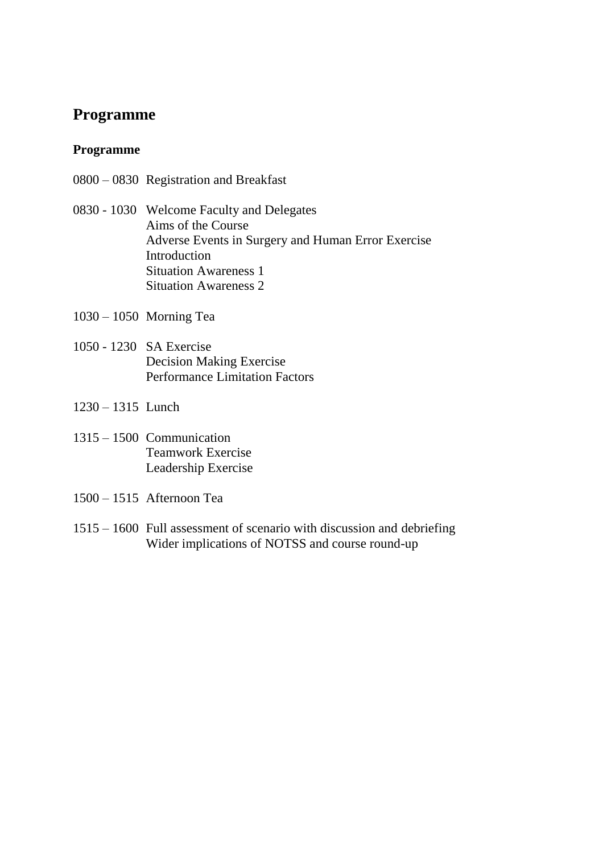#### **Programme**

#### **Programme**

- 0800 0830 Registration and Breakfast
- 0830 1030 Welcome Faculty and Delegates Aims of the Course Adverse Events in Surgery and Human Error Exercise Introduction Situation Awareness 1 Situation Awareness 2
- 1030 1050 Morning Tea
- 1050 1230 SA Exercise Decision Making Exercise Performance Limitation Factors
- 1230 1315 Lunch
- 1315 1500 Communication Teamwork Exercise Leadership Exercise
- 1500 1515 Afternoon Tea
- 1515 1600 Full assessment of scenario with discussion and debriefing Wider implications of NOTSS and course round-up